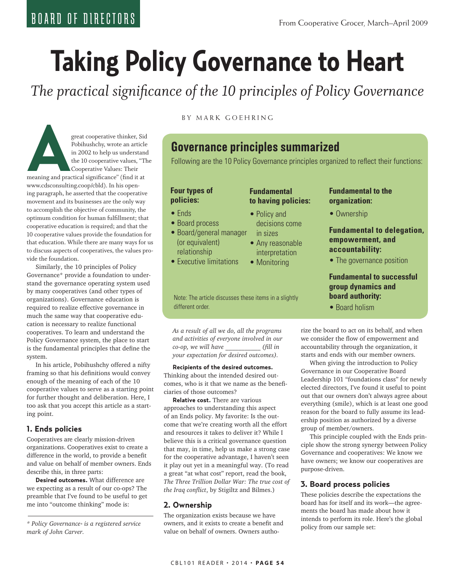# **Taking Policy Governance to Heart**

*The practical significance of the 10 principles of Policy Governance*

great cooperative thinker, Sid<br>
Pobihushchy, wrote an article<br>
in 2002 to help us understand<br>
the 10 cooperative values: Their<br>
Cooperative Values: Their<br>
Meaning and practical significance" (find it at Pobihushchy, wrote an article in 2002 to help us understand the 10 cooperative values, "The Cooperative Values: Their

www.cdsconsulting.coop/cbld). In his opening paragraph, he asserted that the cooperative movement and its businesses are the only way to accomplish the objective of community, the optimum condition for human fulfillment; that cooperative education is required; and that the 10 cooperative values provide the foundation for that education. While there are many ways for us to discuss aspects of cooperatives, the values provide the foundation.

Similarly, the 10 principles of Policy Governance\* provide a foundation to understand the governance operating system used by many cooperatives (and other types of organizations). Governance education is required to realize effective governance in much the same way that cooperative education is necessary to realize functional cooperatives. To learn and understand the Policy Governance system, the place to start is the fundamental principles that define the system.

In his article, Pobihushchy offered a nifty framing so that his definitions would convey enough of the meaning of each of the 10 cooperative values to serve as a starting point for further thought and deliberation. Here, I too ask that you accept this article as a starting point.

# **1. Ends policies**

Cooperatives are clearly mission-driven organizations. Cooperatives exist to create a difference in the world, to provide a benefit and value on behalf of member owners. Ends describe this, in three parts:

**Desired outcomes.** What difference are we expecting as a result of our co-ops? The preamble that I've found to be useful to get me into "outcome thinking" mode is:

*\* Policy Governance® is a registered service mark of John Carver.* 

BY MARK GOEHRING

# **Governance principles summarized**

Following are the 10 Policy Governance principles organized to reflect their functions:

# **Four types of policies:**

- Ends
- Board process
- Board/general manager (or equivalent) relationship
- Executive limitations

#### Note: The article discusses these items in a slightly different order.

*As a result of all we do, all the programs and activities of everyone involved in our co-op, we will have \_\_\_\_\_\_\_\_\_\_\_ (fill in your expectation for desired outcomes).*

**Recipients of the desired outcomes.** Thinking about the intended desired outcomes, who is it that we name as the beneficiaries of those outcomes?

**Relative cost.** There are various approaches to understanding this aspect of an Ends policy. My favorite: Is the outcome that we're creating worth all the effort and resources it takes to deliver it? While I believe this is a critical governance question that may, in time, help us make a strong case for the cooperative advantage, I haven't seen it play out yet in a meaningful way. (To read a great "at what cost" report, read the book, *The Three Trillion Dollar War: The true cost of the Iraq conflict*, by Stigiltz and Bilmes.)

# **2. Ownership**

The organization exists because we have owners, and it exists to create a benefit and value on behalf of owners. Owners autho-

# **Fundamental to having policies:**

- Policy and decisions come in sizes
- Any reasonable interpretation
- Monitoring

# **Fundamental to the organization:**

• Ownership

# **Fundamental to delegation, empowerment, and accountability:**

• The governance position

# **Fundamental to successful group dynamics and board authority:**

• Board holism

rize the board to act on its behalf, and when we consider the flow of empowerment and accountability through the organization, it starts and ends with our member owners.

When giving the introduction to Policy Governance in our Cooperative Board Leadership 101 "foundations class" for newly elected directors, I've found it useful to point out that our owners don't always agree about everything (smile), which is at least one good reason for the board to fully assume its leadership position as authorized by a diverse group of member/owners.

This principle coupled with the Ends principle show the strong synergy between Policy Governance and cooperatives: We know we have owners; we know our cooperatives are purpose-driven.

# **3. Board process policies**

These policies describe the expectations the board has for itself and its work—the agreements the board has made about how it intends to perform its role. Here's the global policy from our sample set: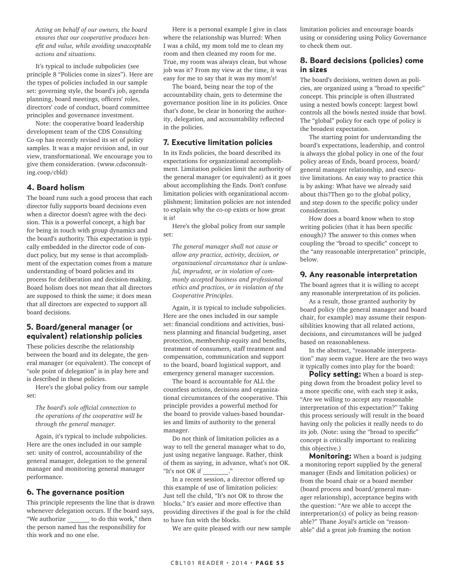*Acting on behalf of our owners, the board ensures that our cooperative produces benefit and value, while avoiding unacceptable actions and situations.*

It's typical to include subpolicies (see principle 8 "Policies come in sizes"). Here are the types of policies included in our sample set: governing style, the board's job, agenda planning, board meetings, officers' roles, directors' code of conduct, board committee principles and governance investment.

Note: the cooperative board leadership development team of the CDS Consulting Co-op has recently revised its set of policy samples. It was a major revision and, in our view, transformational. We encourage you to give them consideration. (www.cdsconsulting.coop/cbld)

#### **4. Board holism**

The board runs such a good process that each director fully supports board decisions even when a director doesn't agree with the decision. This is a powerful concept, a high bar for being in touch with group dynamics and the board's authority. This expectation is typically embedded in the director code of conduct policy, but my sense is that accomplishment of the expectation comes from a mature understanding of board policies and its process for deliberation and decision-making. Board holism does not mean that all directors are supposed to think the same; it does mean that all directors are expected to support all board decisions.

#### **5. Board/general manager (or equivalent) relationship policies**

These policies describe the relationship between the board and its delegate, the general manager (or equivalent). The concept of "sole point of delegation" is in play here and is described in these policies.

Here's the global policy from our sample set:

*The board's sole official connection to the operations of the cooperative will be through the general manager.*

Again, it's typical to include subpolicies. Here are the ones included in our sample set: unity of control, accountability of the general manager, delegation to the general manager and monitoring general manager performance.

#### **6. The governance position**

This principle represents the line that is drawn whenever delegation occurs. If the board says, "We authorize to do this work," then the person named has the responsibility for this work and no one else.

Here is a personal example I give in class where the relationship was blurred: When I was a child, my mom told me to clean my room and then cleaned my room for me. True, my room was always clean, but whose job was it? From my view at the time, it was easy for me to say that it was my mom's!

The board, being near the top of the accountability chain, gets to determine the governance position line in its policies. Once that's done, be clear in honoring the authority, delegation, and accountability reflected in the policies.

#### **7. Executive limitation policies**

In its Ends policies, the board described its expectations for organizational accomplishment. Limitation policies limit the authority of the general manager (or equivalent) as it goes about accomplishing the Ends. Don't confuse limitation policies with organizational accomplishment; limitation policies are not intended to explain why the co-op exists or how great it is!

Here's the global policy from our sample set:

*The general manager shall not cause or allow any practice, activity, decision, or organizational circumstance that is unlawful, imprudent, or in violation of commonly accepted business and professional ethics and practices, or in violation of the Cooperative Principles.*

Again, it is typical to include subpolicies. Here are the ones included in our sample set: financial conditions and activities, business planning and financial budgeting, asset protection, membership equity and benefits, treatment of consumers, staff treatment and compensation, communication and support to the board, board logistical support, and emergency general manager succession.

The board is accountable for ALL the countless actions, decisions and organizational circumstances of the cooperative. This principle provides a powerful method for the board to provide values-based boundaries and limits of authority to the general manager.

Do not think of limitation policies as a way to tell the general manager what to do, just using negative language. Rather, think of them as saying, in advance, what's not OK. "It's not OK if \_\_\_\_\_\_\_\_."

In a recent session, a director offered up this example of use of limitation policies: Just tell the child, "It's not OK to throw the blocks." It's easier and more effective than providing directives if the goal is for the child to have fun with the blocks.

We are quite pleased with our new sample

limitation policies and encourage boards using or considering using Policy Governance to check them out.

#### **8. Board decisions (policies) come in sizes**

The board's decisions, written down as policies, are organized using a "broad to specific" concept. This principle is often illustrated using a nested bowls concept: largest bowl controls all the bowls nested inside that bowl. The "global" policy for each type of policy is the broadest expectation.

The starting point for understanding the board's expectations, leadership, and control is always the global policy in one of the four policy areas of Ends, board process, board/ general manager relationship, and executive limitations. An easy way to practice this is by asking: What have we already said about this?Then go to the global policy, and step down to the specific policy under consideration.

How does a board know when to stop writing policies (that it has been specific enough)? The answer to this comes when coupling the "broad to specific" concept to the "any reasonable interpretation" principle, below.

#### **9. Any reasonable interpretation**

The board agrees that it is willing to accept any reasonable interpretation of its policies.

As a result, those granted authority by board policy (the general manager and board chair, for example) may assume their responsibilities knowing that all related actions, decisions, and circumstances will be judged based on reasonableness.

In the abstract, "reasonable interpretation" may seem vague. Here are the two ways it typically comes into play for the board:

**Policy setting:** When a board is stepping down from the broadest policy level to a more specific one, with each step it asks, "Are we willing to accept any reasonable interpretation of this expectation?" Taking this process seriously will result in the board having only the policies it really needs to do its job. (Note: using the "broad to specific" concept is critically important to realizing this objective.)

**Monitoring:** When a board is judging a monitoring report supplied by the general manager (Ends and limitation policies) or from the board chair or a board member (board process and board/general manager relationship), acceptance begins with the question: "Are we able to accept the interpretation(s) of policy as being reasonable?" Thane Joyal's article on "reasonable" did a great job framing the notion